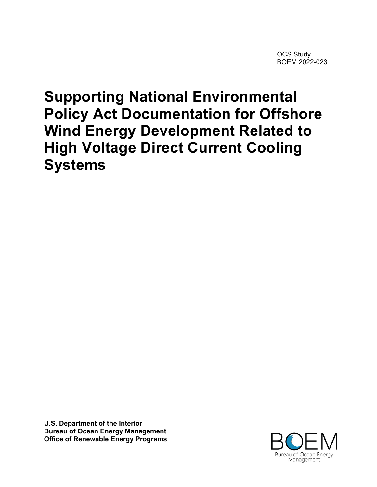OCS Study BOEM 2022-023

# **Supporting National Environmental Policy Act Documentation for Offshore Wind Energy Development Related to High Voltage Direct Current Cooling Systems**

**U.S. Department of the Interior Bureau of Ocean Energy Management Office of Renewable Energy Programs**

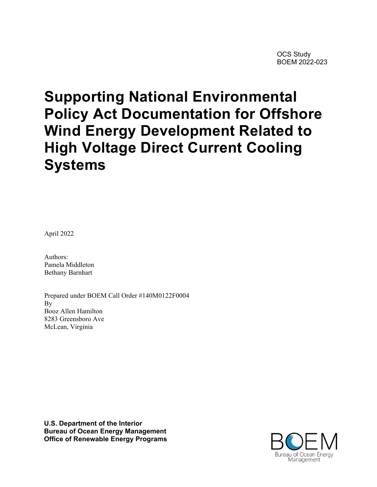# **Supporting National Environmental Policy Act Documentation for Offshore Wind Energy Development Related to High Voltage Direct Current Cooling Systems**

April 2022

Authors: Pamela Middleton Bethany Barnhart

Prepared under BOEM Call Order #140M0122F0004 By Booz Allen Hamilton 8283 Greensboro Ave McLean, Virginia

**U.S. Department of the Interior Bureau of Ocean Energy Management Office of Renewable Energy Programs**

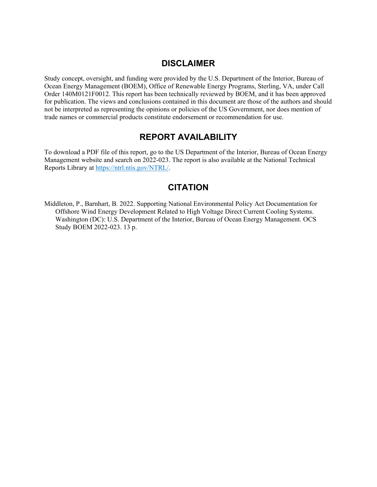#### **DISCLAIMER**

Study concept, oversight, and funding were provided by the U.S. Department of the Interior, Bureau of Ocean Energy Management (BOEM), Office of Renewable Energy Programs, Sterling, VA, under Call Order 140M0121F0012. This report has been technically reviewed by BOEM, and it has been approved for publication. The views and conclusions contained in this document are those of the authors and should not be interpreted as representing the opinions or policies of the US Government, nor does mention of trade names or commercial products constitute endorsement or recommendation for use.

#### **REPORT AVAILABILITY**

To download a PDF file of this report, go to the US Department of the Interior, Bureau of Ocean Energy Management website and search on 2022-023. The report is also available at the National Technical Reports Library at [https://ntrl.ntis.gov/NTRL/.](https://ntrl.ntis.gov/NTRL/)

#### **CITATION**

Middleton, P., Barnhart, B. 2022. Supporting National Environmental Policy Act Documentation for Offshore Wind Energy Development Related to High Voltage Direct Current Cooling Systems. Washington (DC): U.S. Department of the Interior, Bureau of Ocean Energy Management. OCS Study BOEM 2022-023. 13 p.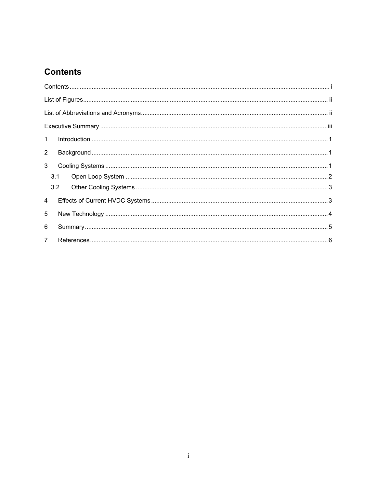## **Contents**

| $\mathbf{1}$   |     |  |  |
|----------------|-----|--|--|
| $\overline{2}$ |     |  |  |
| 3              |     |  |  |
|                | 3.1 |  |  |
|                | 3.2 |  |  |
| $\overline{4}$ |     |  |  |
| 5              |     |  |  |
| 6              |     |  |  |
| $7^{\circ}$    |     |  |  |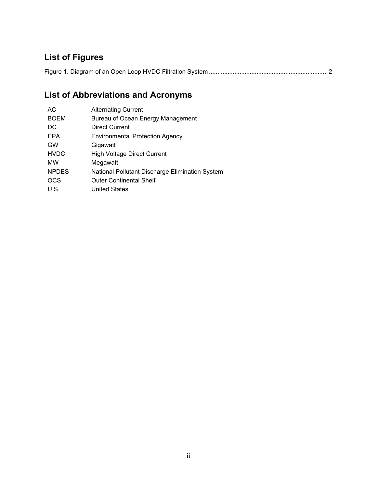# **List of Figures**

Figure 1. Diagram of an Open Loop HVDC Filtration System ......................................................................2

# **List of Abbreviations and Acronyms**

| AC           | <b>Alternating Current</b>                      |
|--------------|-------------------------------------------------|
| <b>BOEM</b>  | Bureau of Ocean Energy Management               |
| DC.          | <b>Direct Current</b>                           |
| <b>EPA</b>   | <b>Environmental Protection Agency</b>          |
| <b>GW</b>    | Gigawatt                                        |
| <b>HVDC</b>  | <b>High Voltage Direct Current</b>              |
| МW           | Megawatt                                        |
| <b>NPDES</b> | National Pollutant Discharge Elimination System |
| <b>OCS</b>   | <b>Outer Continental Shelf</b>                  |
| U.S.         | <b>United States</b>                            |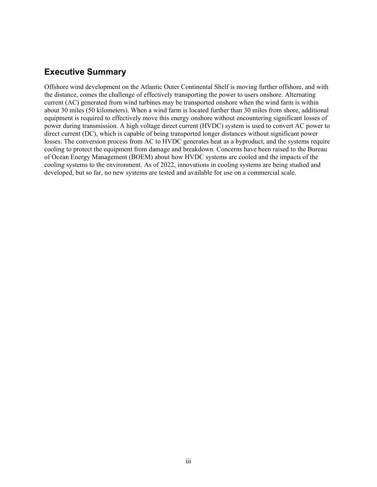#### **Executive Summary**

Offshore wind development on the Atlantic Outer Continental Shelf is moving further offshore, and with the distance, comes the challenge of effectively transporting the power to users onshore. Alternating current (AC) generated from wind turbines may be transported onshore when the wind farm is within about 30 miles (50 kilometers). When a wind farm is located further than 30 miles from shore, additional equipment is required to effectively move this energy onshore without encountering significant losses of power during transmission. A high voltage direct current (HVDC) system is used to convert AC power to direct current (DC), which is capable of being transported longer distances without significant power losses. The conversion process from AC to HVDC generates heat as a byproduct, and the systems require cooling to protect the equipment from damage and breakdown. Concerns have been raised to the Bureau of Ocean Energy Management (BOEM) about how HVDC systems are cooled and the impacts of the cooling systems to the environment. As of 2022, innovations in cooling systems are being studied and developed, but so far, no new systems are tested and available for use on a commercial scale.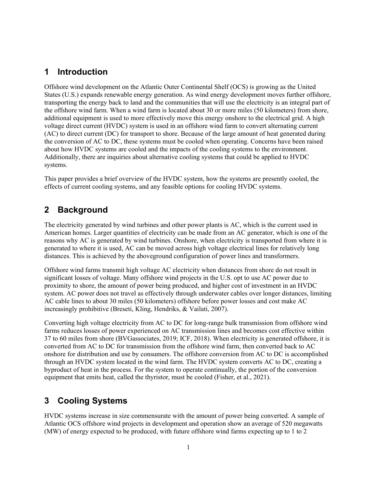### **1 Introduction**

Offshore wind development on the Atlantic Outer Continental Shelf (OCS) is growing as the United States (U.S.) expands renewable energy generation. As wind energy development moves further offshore, transporting the energy back to land and the communities that will use the electricity is an integral part of the offshore wind farm. When a wind farm is located about 30 or more miles (50 kilometers) from shore, additional equipment is used to more effectively move this energy onshore to the electrical grid. A high voltage direct current (HVDC) system is used in an offshore wind farm to convert alternating current (AC) to direct current (DC) for transport to shore. Because of the large amount of heat generated during the conversion of AC to DC, these systems must be cooled when operating. Concerns have been raised about how HVDC systems are cooled and the impacts of the cooling systems to the environment. Additionally, there are inquiries about alternative cooling systems that could be applied to HVDC systems.

This paper provides a brief overview of the HVDC system, how the systems are presently cooled, the effects of current cooling systems, and any feasible options for cooling HVDC systems.

#### **2 Background**

The electricity generated by wind turbines and other power plants is AC, which is the current used in American homes. Larger quantities of electricity can be made from an AC generator, which is one of the reasons why AC is generated by wind turbines. Onshore, when electricity is transported from where it is generated to where it is used, AC can be moved across high voltage electrical lines for relatively long distances. This is achieved by the aboveground configuration of power lines and transformers.

Offshore wind farms transmit high voltage AC electricity when distances from shore do not result in significant losses of voltage. Many offshore wind projects in the U.S. opt to use AC power due to proximity to shore, the amount of power being produced, and higher cost of investment in an HVDC system. AC power does not travel as effectively through underwater cables over longer distances, limiting AC cable lines to about 30 miles (50 kilometers) offshore before power losses and cost make AC increasingly prohibitive (Breseti, Kling, Hendriks, & Vailati, 2007).

Converting high voltage electricity from AC to DC for long-range bulk transmission from offshore wind farms reduces losses of power experienced on AC transmission lines and becomes cost effective within 37 to 60 miles from shore (BVGassociates, 2019; ICF, 2018). When electricity is generated offshore, it is converted from AC to DC for transmission from the offshore wind farm, then converted back to AC onshore for distribution and use by consumers. The offshore conversion from AC to DC is accomplished through an HVDC system located in the wind farm. The HVDC system converts AC to DC, creating a byproduct of heat in the process. For the system to operate continually, the portion of the conversion equipment that emits heat, called the thyristor, must be cooled (Fisher, et al., 2021).

#### **3 Cooling Systems**

HVDC systems increase in size commensurate with the amount of power being converted. A sample of Atlantic OCS offshore wind projects in development and operation show an average of 520 megawatts (MW) of energy expected to be produced, with future offshore wind farms expecting up to 1 to 2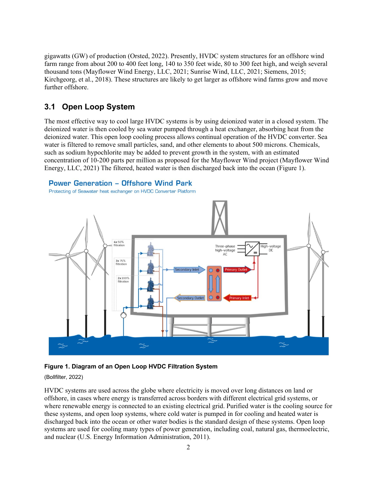gigawatts (GW) of production (Orsted, 2022). Presently, HVDC system structures for an offshore wind farm range from about 200 to 400 feet long, 140 to 350 feet wide, 80 to 300 feet high, and weigh several thousand tons (Mayflower Wind Energy, LLC, 2021; Sunrise Wind, LLC, 2021; Siemens, 2015; Kirchgeorg, et al., 2018). These structures are likely to get larger as offshore wind farms grow and move further offshore.

#### **3.1 Open Loop System**

The most effective way to cool large HVDC systems is by using deionized water in a closed system. The deionized water is then cooled by sea water pumped through a heat exchanger, absorbing heat from the deionized water. This open loop cooling process allows continual operation of the HVDC converter. Sea water is filtered to remove small particles, sand, and other elements to about 500 microns. Chemicals, such as sodium hypochlorite may be added to prevent growth in the system, with an estimated concentration of 10-200 parts per million as proposed for the Mayflower Wind project (Mayflower Wind Energy, LLC, 2021) The filtered, heated water is then discharged back into the ocean [\(Figure 1\)](#page-7-0).

#### **Power Generation - Offshore Wind Park**

Protecting of Seawater heat exchanger on HVDC Converter Platform



#### <span id="page-7-0"></span>**Figure 1. Diagram of an Open Loop HVDC Filtration System**

#### (Bollfilter, 2022)

HVDC systems are used across the globe where electricity is moved over long distances on land or offshore, in cases where energy is transferred across borders with different electrical grid systems, or where renewable energy is connected to an existing electrical grid. Purified water is the cooling source for these systems, and open loop systems, where cold water is pumped in for cooling and heated water is discharged back into the ocean or other water bodies is the standard design of these systems. Open loop systems are used for cooling many types of power generation, including coal, natural gas, thermoelectric, and nuclear (U.S. Energy Information Administration, 2011).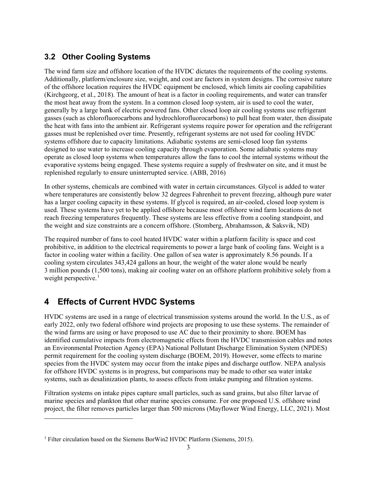### **3.2 Other Cooling Systems**

The wind farm size and offshore location of the HVDC dictates the requirements of the cooling systems. Additionally, platform/enclosure size, weight, and cost are factors in system designs. The corrosive nature of the offshore location requires the HVDC equipment be enclosed, which limits air cooling capabilities (Kirchgeorg, et al., 2018). The amount of heat is a factor in cooling requirements, and water can transfer the most heat away from the system. In a common closed loop system, air is used to cool the water, generally by a large bank of electric powered fans. Other closed loop air cooling systems use refrigerant gasses (such as chlorofluorocarbons and hydrochlorofluorocarbons) to pull heat from water, then dissipate the heat with fans into the ambient air. Refrigerant systems require power for operation and the refrigerant gasses must be replenished over time. Presently, refrigerant systems are not used for cooling HVDC systems offshore due to capacity limitations. Adiabatic systems are semi-closed loop fan systems designed to use water to increase cooling capacity through evaporation. Some adiabatic systems may operate as closed loop systems when temperatures allow the fans to cool the internal systems without the evaporative systems being engaged. These systems require a supply of freshwater on site, and it must be replenished regularly to ensure uninterrupted service. (ABB, 2016)

In other systems, chemicals are combined with water in certain circumstances. Glycol is added to water where temperatures are consistently below 32 degrees Fahrenheit to prevent freezing, although pure water has a larger cooling capacity in these systems. If glycol is required, an air-cooled, closed loop system is used. These systems have yet to be applied offshore because most offshore wind farm locations do not reach freezing temperatures frequently. These systems are less effective from a cooling standpoint, and the weight and size constraints are a concern offshore. (Stomberg, Abrahamsson, & Saksvik, ND)

The required number of fans to cool heated HVDC water within a platform facility is space and cost prohibitive, in addition to the electrical requirements to power a large bank of cooling fans. Weight is a factor in cooling water within a facility. One gallon of sea water is approximately 8.56 pounds. If a cooling system circulates 343,424 gallons an hour, the weight of the water alone would be nearly 3 million pounds (1,500 tons), making air cooling water on an offshore platform prohibitive solely from a weight perspective.<sup>[1](#page-8-0)</sup>

## **4 Effects of Current HVDC Systems**

HVDC systems are used in a range of electrical transmission systems around the world. In the U.S., as of early 2022, only two federal offshore wind projects are proposing to use these systems. The remainder of the wind farms are using or have proposed to use AC due to their proximity to shore. BOEM has identified cumulative impacts from electromagnetic effects from the HVDC transmission cables and notes an Environmental Protection Agency (EPA) National Pollutant Discharge Elimination System (NPDES) permit requirement for the cooling system discharge (BOEM, 2019). However, some effects to marine species from the HVDC system may occur from the intake pipes and discharge outflow. NEPA analysis for offshore HVDC systems is in progress, but comparisons may be made to other sea water intake systems, such as desalinization plants, to assess effects from intake pumping and filtration systems.

Filtration systems on intake pipes capture small particles, such as sand grains, but also filter larvae of marine species and plankton that other marine species consume. For one proposed U.S. offshore wind project, the filter removes particles larger than 500 microns (Mayflower Wind Energy, LLC, 2021). Most

<span id="page-8-0"></span><sup>&</sup>lt;sup>1</sup> Filter circulation based on the Siemens BorWin2 HVDC Platform (Siemens, 2015).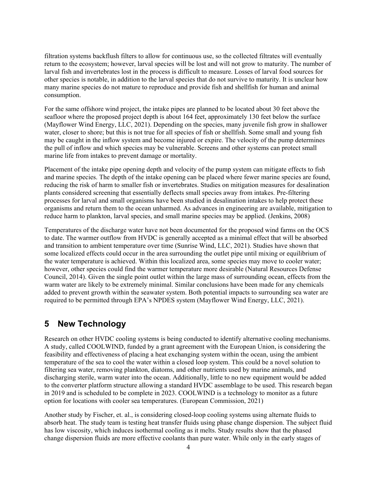filtration systems backflush filters to allow for continuous use, so the collected filtrates will eventually return to the ecosystem; however, larval species will be lost and will not grow to maturity. The number of larval fish and invertebrates lost in the process is difficult to measure. Losses of larval food sources for other species is notable, in addition to the larval species that do not survive to maturity. It is unclear how many marine species do not mature to reproduce and provide fish and shellfish for human and animal consumption.

For the same offshore wind project, the intake pipes are planned to be located about 30 feet above the seafloor where the proposed project depth is about 164 feet, approximately 130 feet below the surface (Mayflower Wind Energy, LLC, 2021). Depending on the species, many juvenile fish grow in shallower water, closer to shore; but this is not true for all species of fish or shellfish. Some small and young fish may be caught in the inflow system and become injured or expire. The velocity of the pump determines the pull of inflow and which species may be vulnerable. Screens and other systems can protect small marine life from intakes to prevent damage or mortality.

Placement of the intake pipe opening depth and velocity of the pump system can mitigate effects to fish and marine species. The depth of the intake opening can be placed where fewer marine species are found, reducing the risk of harm to smaller fish or invertebrates. Studies on mitigation measures for desalination plants considered screening that essentially deflects small species away from intakes. Pre-filtering processes for larval and small organisms have been studied in desalination intakes to help protect these organisms and return them to the ocean unharmed. As advances in engineering are available, mitigation to reduce harm to plankton, larval species, and small marine species may be applied. (Jenkins, 2008)

Temperatures of the discharge water have not been documented for the proposed wind farms on the OCS to date. The warmer outflow from HVDC is generally accepted as a minimal effect that will be absorbed and transition to ambient temperature over time (Sunrise Wind, LLC, 2021). Studies have shown that some localized effects could occur in the area surrounding the outlet pipe until mixing or equilibrium of the water temperature is achieved. Within this localized area, some species may move to cooler water; however, other species could find the warmer temperature more desirable (Natural Resources Defense Council, 2014). Given the single point outlet within the large mass of surrounding ocean, effects from the warm water are likely to be extremely minimal. Similar conclusions have been made for any chemicals added to prevent growth within the seawater system. Both potential impacts to surrounding sea water are required to be permitted through EPA's NPDES system (Mayflower Wind Energy, LLC, 2021).

#### **5 New Technology**

Research on other HVDC cooling systems is being conducted to identify alternative cooling mechanisms. A study, called COOLWIND, funded by a grant agreement with the European Union, is considering the feasibility and effectiveness of placing a heat exchanging system within the ocean, using the ambient temperature of the sea to cool the water within a closed loop system. This could be a novel solution to filtering sea water, removing plankton, diatoms, and other nutrients used by marine animals, and discharging sterile, warm water into the ocean. Additionally, little to no new equipment would be added to the converter platform structure allowing a standard HVDC assemblage to be used. This research began in 2019 and is scheduled to be complete in 2023. COOLWIND is a technology to monitor as a future option for locations with cooler sea temperatures. (European Commission, 2021)

Another study by Fischer, et. al., is considering closed-loop cooling systems using alternate fluids to absorb heat. The study team is testing heat transfer fluids using phase change dispersion. The subject fluid has low viscosity, which induces isothermal cooling as it melts. Study results show that the phased change dispersion fluids are more effective coolants than pure water. While only in the early stages of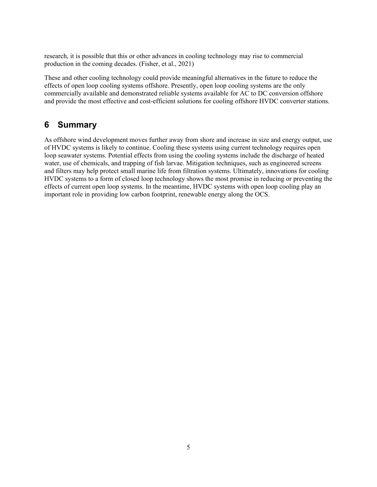research, it is possible that this or other advances in cooling technology may rise to commercial production in the coming decades. (Fisher, et al., 2021)

These and other cooling technology could provide meaningful alternatives in the future to reduce the effects of open loop cooling systems offshore. Presently, open loop cooling systems are the only commercially available and demonstrated reliable systems available for AC to DC conversion offshore and provide the most effective and cost-efficient solutions for cooling offshore HVDC converter stations.

## **6 Summary**

As offshore wind development moves further away from shore and increase in size and energy output, use of HVDC systems is likely to continue. Cooling these systems using current technology requires open loop seawater systems. Potential effects from using the cooling systems include the discharge of heated water, use of chemicals, and trapping of fish larvae. Mitigation techniques, such as engineered screens and filters may help protect small marine life from filtration systems. Ultimately, innovations for cooling HVDC systems to a form of closed loop technology shows the most promise in reducing or preventing the effects of current open loop systems. In the meantime, HVDC systems with open loop cooling play an important role in providing low carbon footprint, renewable energy along the OCS.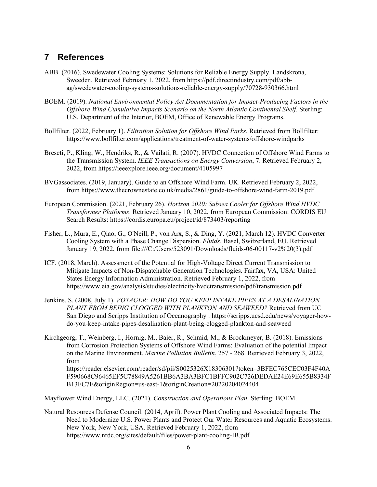#### **7 References**

- ABB. (2016). Swedewater Cooling Systems: Solutions for Reliable Energy Supply. Landskrona, Sweeden. Retrieved February 1, 2022, from https://pdf.directindustry.com/pdf/abbag/swedewater-cooling-systems-solutions-reliable-energy-supply/70728-930366.html
- BOEM. (2019). *National Environmental Policy Act Documentation for Impact-Producing Factors in the Offshore Wind Cumulative Impacts Scenario on the North Atlantic Continental Shelf.* Sterling: U.S. Department of the Interior, BOEM, Office of Renewable Energy Programs.
- Bollfilter. (2022, February 1). *Filtration Solution for Offshore Wind Parks*. Retrieved from Bollfilter: https://www.bollfilter.com/applications/treatment-of-water-systems/offshore-windparks
- Breseti, P., Kling, W., Hendriks, R., & Vailati, R. (2007). HVDC Connection of Offshore Wind Farms to the Transmission System. *IEEE Transactions on Energy Conversion*, 7. Retrieved February 2, 2022, from https://ieeexplore.ieee.org/document/4105997
- BVGassociates. (2019, January). Guide to an Offshore Wind Farm. UK. Retrieved February 2, 2022, from https://www.thecrownestate.co.uk/media/2861/guide-to-offshore-wind-farm-2019.pdf
- European Commission. (2021, February 26). *Horizon 2020: Subsea Cooler for Offshore Wind HVDC Transformer Platforms*. Retrieved January 10, 2022, from European Commission: CORDIS EU Search Results: https://cordis.europa.eu/project/id/873403/reporting
- Fisher, L., Mura, E., Qiao, G., O'Neill, P., von Arx, S., & Ding, Y. (2021, March 12). HVDC Converter Cooling System with a Phase Change Dispersion. *Fluids*. Basel, Switzerland, EU. Retrieved January 19, 2022, from file:///C:/Users/523091/Downloads/fluids-06-00117-v2%20(3).pdf
- ICF. (2018, March). Assessment of the Potential for High‐Voltage Direct Current Transmission to Mitigate Impacts of Non‐Dispatchable Generation Technologies. Fairfax, VA, USA: United States Energy Information Administration. Retrieved February 1, 2022, from https://www.eia.gov/analysis/studies/electricity/hvdctransmission/pdf/transmission.pdf
- Jenkins, S. (2008, July 1). *VOYAGER: HOW DO YOU KEEP INTAKE PIPES AT A DESALINATION PLANT FROM BEING CLOGGED WITH PLANKTON AND SEAWEED?* Retrieved from UC San Diego and Scripps Institution of Oceanography : https://scripps.ucsd.edu/news/voyager-howdo-you-keep-intake-pipes-desalination-plant-being-clogged-plankton-and-seaweed
- Kirchgeorg, T., Weinberg, I., Hornig, M., Baier, R., Schmid, M., & Brockmeyer, B. (2018). Emissions from Corrosion Protection Systems of Offshore Wind Farms: Evaluation of the potential Impact on the Marine Environment. *Marine Pollution Bulletin*, 257 - 268. Retrieved February 3, 2022, from https://reader.elsevier.com/reader/sd/pii/S0025326X18306301?token=3BFEC765CEC03F4F40A F590668C96465EF5C78849A5261BB6A3BA3BFC1BFFC902C726DEDAE24E69E655B8334F B13FC7E&originRegion=us-east-1&originCreation=20220204024404

Mayflower Wind Energy, LLC. (2021). *Construction and Operations Plan.* Sterling: BOEM.

Natural Resources Defense Council. (2014, April). Power Plant Cooling and Associated Impacts: The Need to Modernize U.S. Power Plants and Protect Our Water Resources and Aquatic Ecosystems. New York, New York, USA. Retrieved February 1, 2022, from https://www.nrdc.org/sites/default/files/power-plant-cooling-IB.pdf